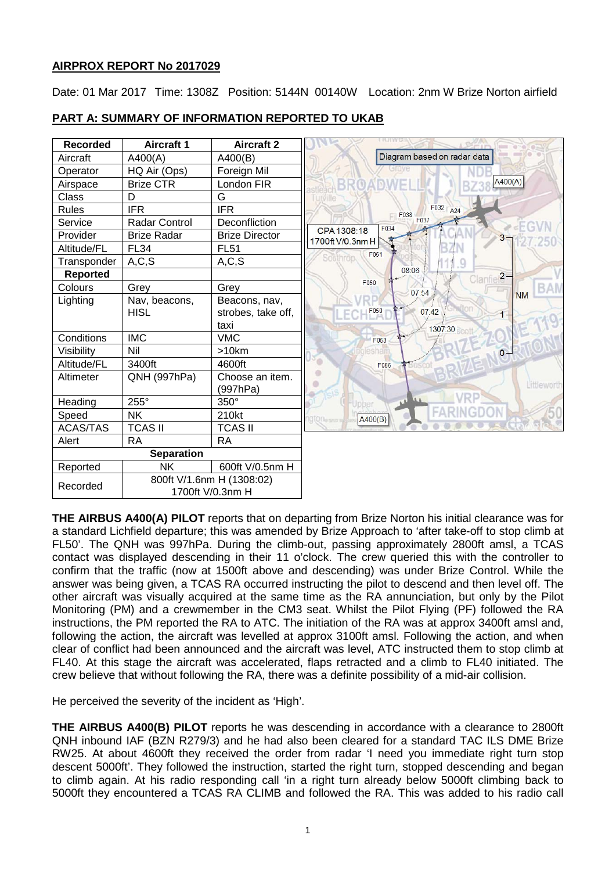## **AIRPROX REPORT No 2017029**

Date: 01 Mar 2017 Time: 1308Z Position: 5144N 00140W Location: 2nm W Brize Norton airfield



# **PART A: SUMMARY OF INFORMATION REPORTED TO UKAB**

**THE AIRBUS A400(A) PILOT** reports that on departing from Brize Norton his initial clearance was for a standard Lichfield departure; this was amended by Brize Approach to 'after take-off to stop climb at FL50'. The QNH was 997hPa. During the climb-out, passing approximately 2800ft amsl, a TCAS contact was displayed descending in their 11 o'clock. The crew queried this with the controller to confirm that the traffic (now at 1500ft above and descending) was under Brize Control. While the answer was being given, a TCAS RA occurred instructing the pilot to descend and then level off. The other aircraft was visually acquired at the same time as the RA annunciation, but only by the Pilot Monitoring (PM) and a crewmember in the CM3 seat. Whilst the Pilot Flying (PF) followed the RA instructions, the PM reported the RA to ATC. The initiation of the RA was at approx 3400ft amsl and, following the action, the aircraft was levelled at approx 3100ft amsl. Following the action, and when clear of conflict had been announced and the aircraft was level, ATC instructed them to stop climb at FL40. At this stage the aircraft was accelerated, flaps retracted and a climb to FL40 initiated. The crew believe that without following the RA, there was a definite possibility of a mid-air collision.

He perceived the severity of the incident as 'High'.

**THE AIRBUS A400(B) PILOT** reports he was descending in accordance with a clearance to 2800ft QNH inbound IAF (BZN R279/3) and he had also been cleared for a standard TAC ILS DME Brize RW25. At about 4600ft they received the order from radar 'I need you immediate right turn stop descent 5000ft'. They followed the instruction, started the right turn, stopped descending and began to climb again. At his radio responding call 'in a right turn already below 5000ft climbing back to 5000ft they encountered a TCAS RA CLIMB and followed the RA. This was added to his radio call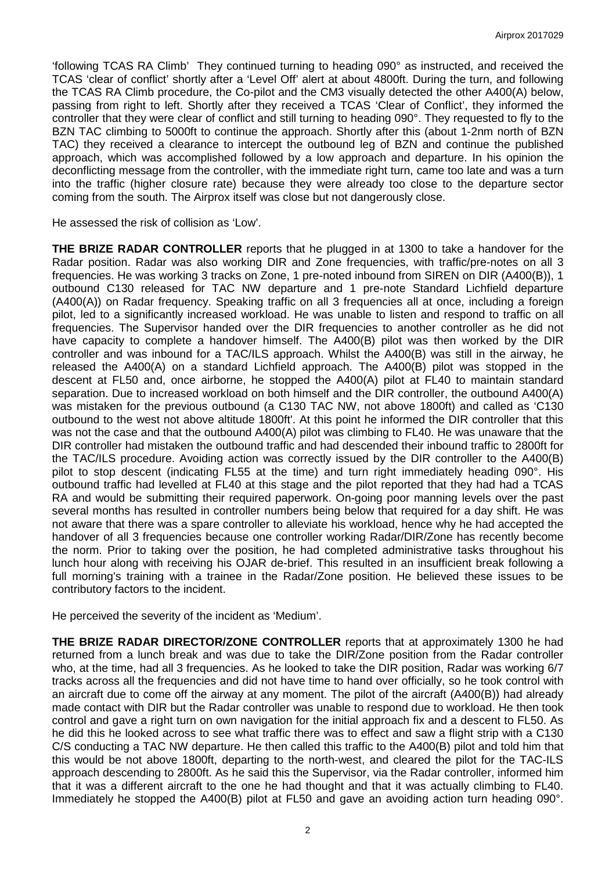'following TCAS RA Climb' They continued turning to heading 090° as instructed, and received the TCAS 'clear of conflict' shortly after a 'Level Off' alert at about 4800ft. During the turn, and following the TCAS RA Climb procedure, the Co-pilot and the CM3 visually detected the other A400(A) below, passing from right to left. Shortly after they received a TCAS 'Clear of Conflict', they informed the controller that they were clear of conflict and still turning to heading 090°. They requested to fly to the BZN TAC climbing to 5000ft to continue the approach. Shortly after this (about 1-2nm north of BZN TAC) they received a clearance to intercept the outbound leg of BZN and continue the published approach, which was accomplished followed by a low approach and departure. In his opinion the deconflicting message from the controller, with the immediate right turn, came too late and was a turn into the traffic (higher closure rate) because they were already too close to the departure sector coming from the south. The Airprox itself was close but not dangerously close.

He assessed the risk of collision as 'Low'.

**THE BRIZE RADAR CONTROLLER** reports that he plugged in at 1300 to take a handover for the Radar position. Radar was also working DIR and Zone frequencies, with traffic/pre-notes on all 3 frequencies. He was working 3 tracks on Zone, 1 pre-noted inbound from SIREN on DIR (A400(B)), 1 outbound C130 released for TAC NW departure and 1 pre-note Standard Lichfield departure (A400(A)) on Radar frequency. Speaking traffic on all 3 frequencies all at once, including a foreign pilot, led to a significantly increased workload. He was unable to listen and respond to traffic on all frequencies. The Supervisor handed over the DIR frequencies to another controller as he did not have capacity to complete a handover himself. The A400(B) pilot was then worked by the DIR controller and was inbound for a TAC/ILS approach. Whilst the A400(B) was still in the airway, he released the A400(A) on a standard Lichfield approach. The A400(B) pilot was stopped in the descent at FL50 and, once airborne, he stopped the A400(A) pilot at FL40 to maintain standard separation. Due to increased workload on both himself and the DIR controller, the outbound A400(A) was mistaken for the previous outbound (a C130 TAC NW, not above 1800ft) and called as 'C130 outbound to the west not above altitude 1800ft'. At this point he informed the DIR controller that this was not the case and that the outbound A400(A) pilot was climbing to FL40. He was unaware that the DIR controller had mistaken the outbound traffic and had descended their inbound traffic to 2800ft for the TAC/ILS procedure. Avoiding action was correctly issued by the DIR controller to the A400(B) pilot to stop descent (indicating FL55 at the time) and turn right immediately heading 090°. His outbound traffic had levelled at FL40 at this stage and the pilot reported that they had had a TCAS RA and would be submitting their required paperwork. On-going poor manning levels over the past several months has resulted in controller numbers being below that required for a day shift. He was not aware that there was a spare controller to alleviate his workload, hence why he had accepted the handover of all 3 frequencies because one controller working Radar/DIR/Zone has recently become the norm. Prior to taking over the position, he had completed administrative tasks throughout his lunch hour along with receiving his OJAR de-brief. This resulted in an insufficient break following a full morning's training with a trainee in the Radar/Zone position. He believed these issues to be contributory factors to the incident.

He perceived the severity of the incident as 'Medium'.

**THE BRIZE RADAR DIRECTOR/ZONE CONTROLLER** reports that at approximately 1300 he had returned from a lunch break and was due to take the DIR/Zone position from the Radar controller who, at the time, had all 3 frequencies. As he looked to take the DIR position, Radar was working 6/7 tracks across all the frequencies and did not have time to hand over officially, so he took control with an aircraft due to come off the airway at any moment. The pilot of the aircraft (A400(B)) had already made contact with DIR but the Radar controller was unable to respond due to workload. He then took control and gave a right turn on own navigation for the initial approach fix and a descent to FL50. As he did this he looked across to see what traffic there was to effect and saw a flight strip with a C130 C/S conducting a TAC NW departure. He then called this traffic to the A400(B) pilot and told him that this would be not above 1800ft, departing to the north-west, and cleared the pilot for the TAC-ILS approach descending to 2800ft. As he said this the Supervisor, via the Radar controller, informed him that it was a different aircraft to the one he had thought and that it was actually climbing to FL40. Immediately he stopped the A400(B) pilot at FL50 and gave an avoiding action turn heading 090°.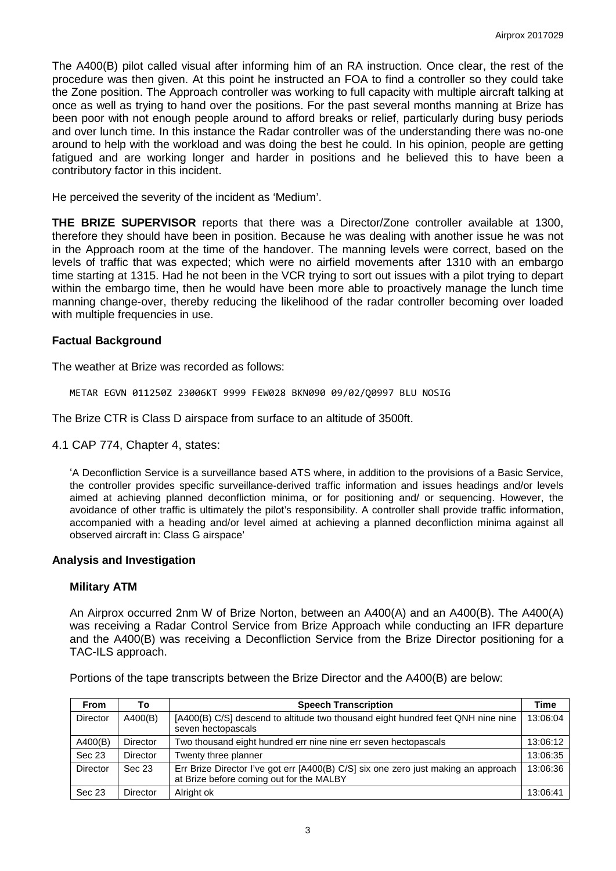The A400(B) pilot called visual after informing him of an RA instruction. Once clear, the rest of the procedure was then given. At this point he instructed an FOA to find a controller so they could take the Zone position. The Approach controller was working to full capacity with multiple aircraft talking at once as well as trying to hand over the positions. For the past several months manning at Brize has been poor with not enough people around to afford breaks or relief, particularly during busy periods and over lunch time. In this instance the Radar controller was of the understanding there was no-one around to help with the workload and was doing the best he could. In his opinion, people are getting fatigued and are working longer and harder in positions and he believed this to have been a contributory factor in this incident.

He perceived the severity of the incident as 'Medium'.

**THE BRIZE SUPERVISOR** reports that there was a Director/Zone controller available at 1300, therefore they should have been in position. Because he was dealing with another issue he was not in the Approach room at the time of the handover. The manning levels were correct, based on the levels of traffic that was expected; which were no airfield movements after 1310 with an embargo time starting at 1315. Had he not been in the VCR trying to sort out issues with a pilot trying to depart within the embargo time, then he would have been more able to proactively manage the lunch time manning change-over, thereby reducing the likelihood of the radar controller becoming over loaded with multiple frequencies in use.

#### **Factual Background**

The weather at Brize was recorded as follows:

METAR EGVN 011250Z 23006KT 9999 FEW028 BKN090 09/02/Q0997 BLU NOSIG

The Brize CTR is Class D airspace from surface to an altitude of 3500ft.

4.1 CAP 774, Chapter 4, states:

'A Deconfliction Service is a surveillance based ATS where, in addition to the provisions of a Basic Service, the controller provides specific surveillance-derived traffic information and issues headings and/or levels aimed at achieving planned deconfliction minima, or for positioning and/ or sequencing. However, the avoidance of other traffic is ultimately the pilot's responsibility. A controller shall provide traffic information, accompanied with a heading and/or level aimed at achieving a planned deconfliction minima against all observed aircraft in: Class G airspace'

#### **Analysis and Investigation**

#### **Military ATM**

An Airprox occurred 2nm W of Brize Norton, between an A400(A) and an A400(B). The A400(A) was receiving a Radar Control Service from Brize Approach while conducting an IFR departure and the A400(B) was receiving a Deconfliction Service from the Brize Director positioning for a TAC-ILS approach.

| <b>From</b>     | To              | <b>Speech Transcription</b>                                                                                                    | Time     |
|-----------------|-----------------|--------------------------------------------------------------------------------------------------------------------------------|----------|
| <b>Director</b> | A400(B)         | [A400(B) C/S] descend to altitude two thousand eight hundred feet QNH nine nine<br>seven hectopascals                          | 13:06:04 |
| A400(B)         | Director        | Two thousand eight hundred err nine nine err seven hectopascals                                                                | 13:06:12 |
| Sec 23          | Director        | Twenty three planner                                                                                                           | 13:06:35 |
| <b>Director</b> | Sec 23          | Err Brize Director I've got err [A400(B) C/S] six one zero just making an approach<br>at Brize before coming out for the MALBY | 13:06:36 |
| Sec 23          | <b>Director</b> | Alright ok                                                                                                                     | 13:06:41 |

Portions of the tape transcripts between the Brize Director and the A400(B) are below: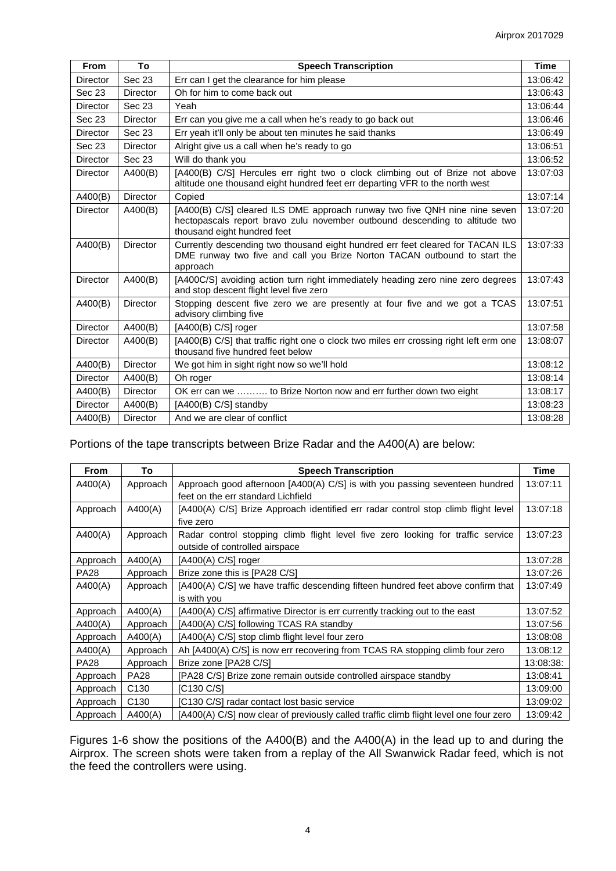| <b>From</b>     | To              | <b>Speech Transcription</b>                                                                                                                                                              |          |
|-----------------|-----------------|------------------------------------------------------------------------------------------------------------------------------------------------------------------------------------------|----------|
| Director        | Sec 23          | Err can I get the clearance for him please                                                                                                                                               | 13:06:42 |
| Sec 23          | <b>Director</b> | Oh for him to come back out                                                                                                                                                              | 13:06:43 |
| Director        | Sec 23          | Yeah                                                                                                                                                                                     | 13:06:44 |
| Sec 23          | <b>Director</b> | Err can you give me a call when he's ready to go back out                                                                                                                                | 13:06:46 |
| Director        | Sec 23          | Err yeah it'll only be about ten minutes he said thanks                                                                                                                                  | 13:06:49 |
| Sec 23          | <b>Director</b> | Alright give us a call when he's ready to go                                                                                                                                             | 13:06:51 |
| <b>Director</b> | Sec 23          | Will do thank you                                                                                                                                                                        | 13:06:52 |
| Director        | A400(B)         | [A400(B) C/S] Hercules err right two o clock climbing out of Brize not above<br>altitude one thousand eight hundred feet err departing VFR to the north west                             | 13:07:03 |
| A400(B)         | <b>Director</b> | Copied                                                                                                                                                                                   | 13:07:14 |
| <b>Director</b> | A400(B)         | [A400(B) C/S] cleared ILS DME approach runway two five QNH nine nine seven<br>hectopascals report bravo zulu november outbound descending to altitude two<br>thousand eight hundred feet | 13:07:20 |
| A400(B)         | <b>Director</b> | Currently descending two thousand eight hundred err feet cleared for TACAN ILS<br>DME runway two five and call you Brize Norton TACAN outbound to start the<br>approach                  | 13:07:33 |
| <b>Director</b> | A400(B)         | [A400C/S] avoiding action turn right immediately heading zero nine zero degrees<br>and stop descent flight level five zero                                                               | 13:07:43 |
| A400(B)         | <b>Director</b> | Stopping descent five zero we are presently at four five and we got a TCAS<br>advisory climbing five                                                                                     | 13:07:51 |
| <b>Director</b> | A400(B)         | $[A400(B) C/S]$ roger                                                                                                                                                                    | 13:07:58 |
| <b>Director</b> | A400(B)         | [A400(B) C/S] that traffic right one o clock two miles err crossing right left erm one<br>thousand five hundred feet below                                                               | 13:08:07 |
| A400(B)         | <b>Director</b> | We got him in sight right now so we'll hold                                                                                                                                              | 13:08:12 |
| <b>Director</b> | A400(B)         | Oh roger                                                                                                                                                                                 | 13:08:14 |
| A400(B)         | <b>Director</b> | OK err can we  to Brize Norton now and err further down two eight                                                                                                                        | 13:08:17 |
| <b>Director</b> | A400(B)         | [A400(B) C/S] standby                                                                                                                                                                    | 13:08:23 |
| A400(B)         | <b>Director</b> | And we are clear of conflict                                                                                                                                                             | 13:08:28 |

## Portions of the tape transcripts between Brize Radar and the A400(A) are below:

| <b>From</b> | To               | <b>Speech Transcription</b>                                                           |           |
|-------------|------------------|---------------------------------------------------------------------------------------|-----------|
| A400(A)     | Approach         | Approach good afternoon [A400(A) C/S] is with you passing seventeen hundred           | 13:07:11  |
|             |                  | feet on the err standard Lichfield                                                    |           |
| Approach    | A400(A)          | [A400(A) C/S] Brize Approach identified err radar control stop climb flight level     | 13:07:18  |
|             |                  | five zero                                                                             |           |
| A400(A)     | Approach         | Radar control stopping climb flight level five zero looking for traffic service       | 13:07:23  |
|             |                  | outside of controlled airspace                                                        |           |
| Approach    | A400(A)          | [A400(A) C/S] roger                                                                   | 13:07:28  |
| <b>PA28</b> | Approach         | Brize zone this is [PA28 C/S]                                                         | 13:07:26  |
| A400(A)     | Approach         | [A400(A) C/S] we have traffic descending fifteen hundred feet above confirm that      | 13:07:49  |
|             |                  | is with you                                                                           |           |
| Approach    | A400(A)          | [A400(A) C/S] affirmative Director is err currently tracking out to the east          | 13:07:52  |
| A400(A)     | Approach         | [A400(A) C/S] following TCAS RA standby                                               | 13:07:56  |
| Approach    | A400(A)          | [A400(A) C/S] stop climb flight level four zero                                       | 13:08:08  |
| A400(A)     | Approach         | Ah [A400(A) C/S] is now err recovering from TCAS RA stopping climb four zero          | 13:08:12  |
| <b>PA28</b> | Approach         | Brize zone [PA28 C/S]                                                                 | 13:08:38: |
| Approach    | <b>PA28</b>      | [PA28 C/S] Brize zone remain outside controlled airspace standby                      | 13:08:41  |
| Approach    | C <sub>130</sub> | IC130 C/S1                                                                            | 13:09:00  |
| Approach    | C <sub>130</sub> | [C130 C/S] radar contact lost basic service                                           | 13:09:02  |
| Approach    | A400(A)          | [A400(A) C/S] now clear of previously called traffic climb flight level one four zero | 13:09:42  |

Figures 1-6 show the positions of the A400(B) and the A400(A) in the lead up to and during the Airprox. The screen shots were taken from a replay of the All Swanwick Radar feed, which is not the feed the controllers were using.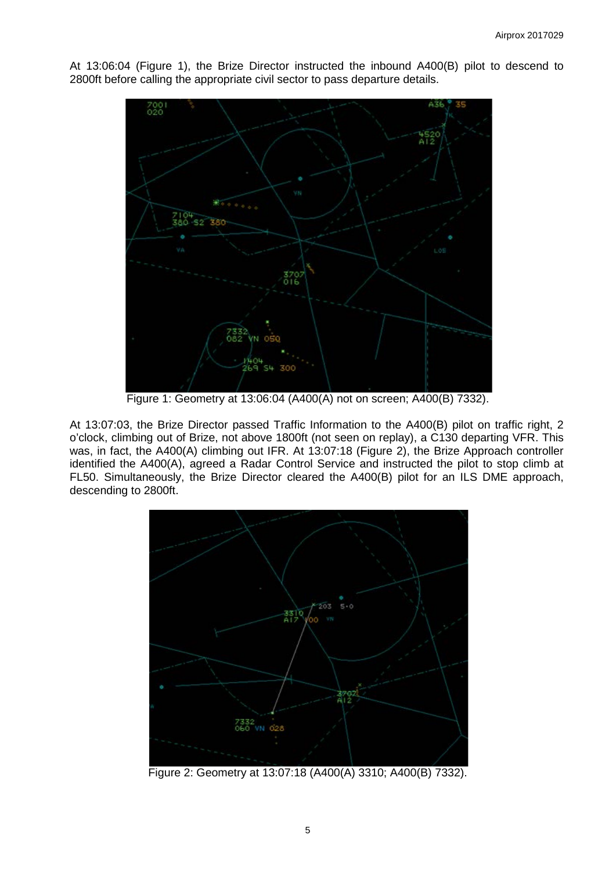At 13:06:04 (Figure 1), the Brize Director instructed the inbound A400(B) pilot to descend to 2800ft before calling the appropriate civil sector to pass departure details.



Figure 1: Geometry at 13:06:04 (A400(A) not on screen; A400(B) 7332).

At 13:07:03, the Brize Director passed Traffic Information to the A400(B) pilot on traffic right, 2 o'clock, climbing out of Brize, not above 1800ft (not seen on replay), a C130 departing VFR. This was, in fact, the A400(A) climbing out IFR. At 13:07:18 (Figure 2), the Brize Approach controller identified the A400(A), agreed a Radar Control Service and instructed the pilot to stop climb at FL50. Simultaneously, the Brize Director cleared the A400(B) pilot for an ILS DME approach, descending to 2800ft.



Figure 2: Geometry at 13:07:18 (A400(A) 3310; A400(B) 7332).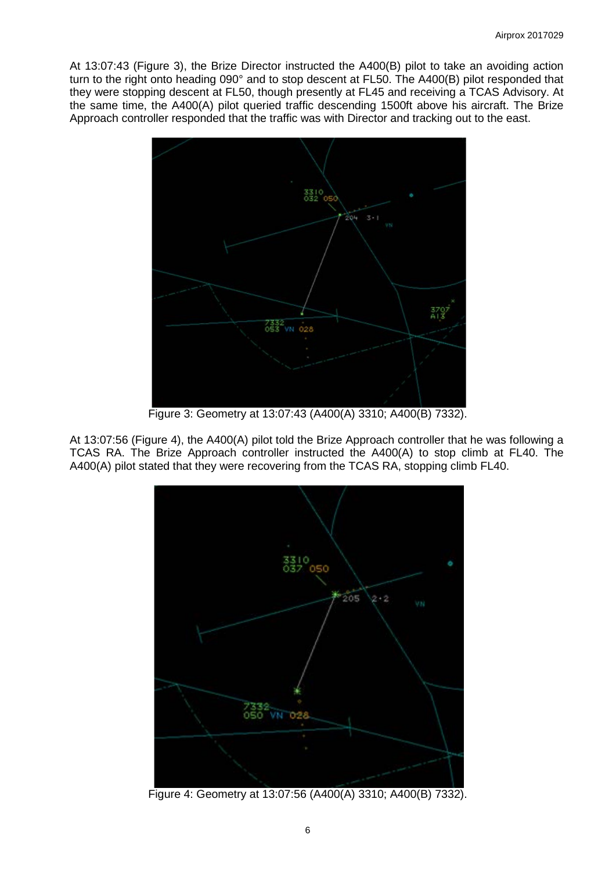At 13:07:43 (Figure 3), the Brize Director instructed the A400(B) pilot to take an avoiding action turn to the right onto heading 090° and to stop descent at FL50. The A400(B) pilot responded that they were stopping descent at FL50, though presently at FL45 and receiving a TCAS Advisory. At the same time, the A400(A) pilot queried traffic descending 1500ft above his aircraft. The Brize Approach controller responded that the traffic was with Director and tracking out to the east.



Figure 3: Geometry at 13:07:43 (A400(A) 3310; A400(B) 7332).

At 13:07:56 (Figure 4), the A400(A) pilot told the Brize Approach controller that he was following a TCAS RA. The Brize Approach controller instructed the A400(A) to stop climb at FL40. The A400(A) pilot stated that they were recovering from the TCAS RA, stopping climb FL40.



Figure 4: Geometry at 13:07:56 (A400(A) 3310; A400(B) 7332).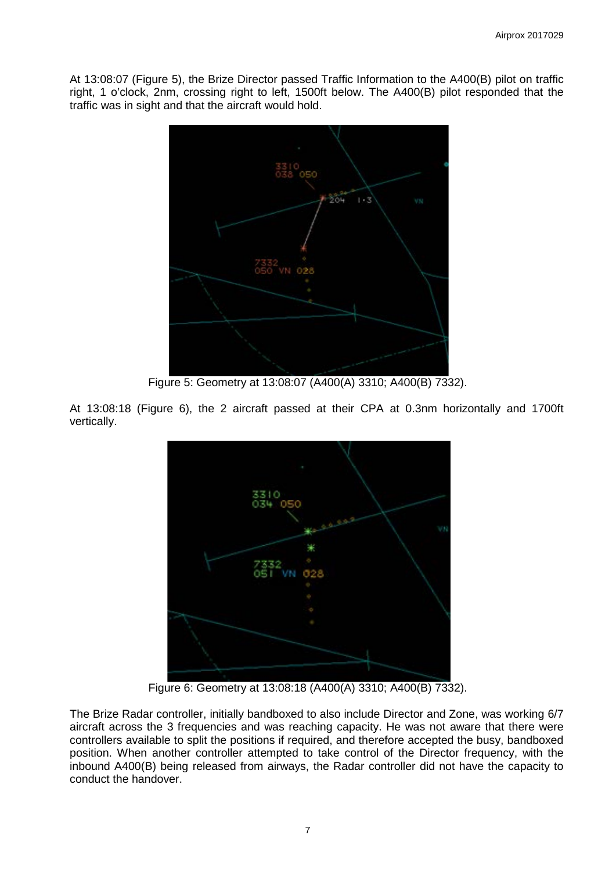At 13:08:07 (Figure 5), the Brize Director passed Traffic Information to the A400(B) pilot on traffic right, 1 o'clock, 2nm, crossing right to left, 1500ft below. The A400(B) pilot responded that the traffic was in sight and that the aircraft would hold.



Figure 5: Geometry at 13:08:07 (A400(A) 3310; A400(B) 7332).

At 13:08:18 (Figure 6), the 2 aircraft passed at their CPA at 0.3nm horizontally and 1700ft vertically.



Figure 6: Geometry at 13:08:18 (A400(A) 3310; A400(B) 7332).

The Brize Radar controller, initially bandboxed to also include Director and Zone, was working 6/7 aircraft across the 3 frequencies and was reaching capacity. He was not aware that there were controllers available to split the positions if required, and therefore accepted the busy, bandboxed position. When another controller attempted to take control of the Director frequency, with the inbound A400(B) being released from airways, the Radar controller did not have the capacity to conduct the handover.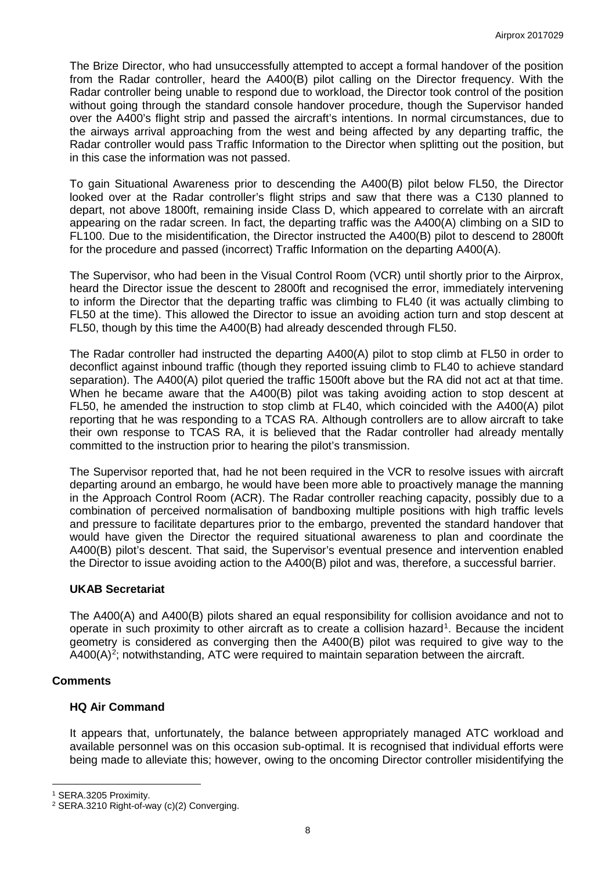The Brize Director, who had unsuccessfully attempted to accept a formal handover of the position from the Radar controller, heard the A400(B) pilot calling on the Director frequency. With the Radar controller being unable to respond due to workload, the Director took control of the position without going through the standard console handover procedure, though the Supervisor handed over the A400's flight strip and passed the aircraft's intentions. In normal circumstances, due to the airways arrival approaching from the west and being affected by any departing traffic, the Radar controller would pass Traffic Information to the Director when splitting out the position, but in this case the information was not passed.

To gain Situational Awareness prior to descending the A400(B) pilot below FL50, the Director looked over at the Radar controller's flight strips and saw that there was a C130 planned to depart, not above 1800ft, remaining inside Class D, which appeared to correlate with an aircraft appearing on the radar screen. In fact, the departing traffic was the A400(A) climbing on a SID to FL100. Due to the misidentification, the Director instructed the A400(B) pilot to descend to 2800ft for the procedure and passed (incorrect) Traffic Information on the departing A400(A).

The Supervisor, who had been in the Visual Control Room (VCR) until shortly prior to the Airprox, heard the Director issue the descent to 2800ft and recognised the error, immediately intervening to inform the Director that the departing traffic was climbing to FL40 (it was actually climbing to FL50 at the time). This allowed the Director to issue an avoiding action turn and stop descent at FL50, though by this time the A400(B) had already descended through FL50.

The Radar controller had instructed the departing A400(A) pilot to stop climb at FL50 in order to deconflict against inbound traffic (though they reported issuing climb to FL40 to achieve standard separation). The A400(A) pilot queried the traffic 1500ft above but the RA did not act at that time. When he became aware that the A400(B) pilot was taking avoiding action to stop descent at FL50, he amended the instruction to stop climb at FL40, which coincided with the A400(A) pilot reporting that he was responding to a TCAS RA. Although controllers are to allow aircraft to take their own response to TCAS RA, it is believed that the Radar controller had already mentally committed to the instruction prior to hearing the pilot's transmission.

The Supervisor reported that, had he not been required in the VCR to resolve issues with aircraft departing around an embargo, he would have been more able to proactively manage the manning in the Approach Control Room (ACR). The Radar controller reaching capacity, possibly due to a combination of perceived normalisation of bandboxing multiple positions with high traffic levels and pressure to facilitate departures prior to the embargo, prevented the standard handover that would have given the Director the required situational awareness to plan and coordinate the A400(B) pilot's descent. That said, the Supervisor's eventual presence and intervention enabled the Director to issue avoiding action to the A400(B) pilot and was, therefore, a successful barrier.

#### **UKAB Secretariat**

The A400(A) and A400(B) pilots shared an equal responsibility for collision avoidance and not to operate in such proximity to other aircraft as to create a collision hazard<sup>[1](#page-7-0)</sup>. Because the incident geometry is considered as converging then the A400(B) pilot was required to give way to the  $A400(A)^2$  $A400(A)^2$ ; notwithstanding, ATC were required to maintain separation between the aircraft.

### **Comments**

l

### **HQ Air Command**

It appears that, unfortunately, the balance between appropriately managed ATC workload and available personnel was on this occasion sub-optimal. It is recognised that individual efforts were being made to alleviate this; however, owing to the oncoming Director controller misidentifying the

<span id="page-7-0"></span><sup>1</sup> SERA.3205 Proximity.

<span id="page-7-1"></span><sup>2</sup> SERA.3210 Right-of-way (c)(2) Converging.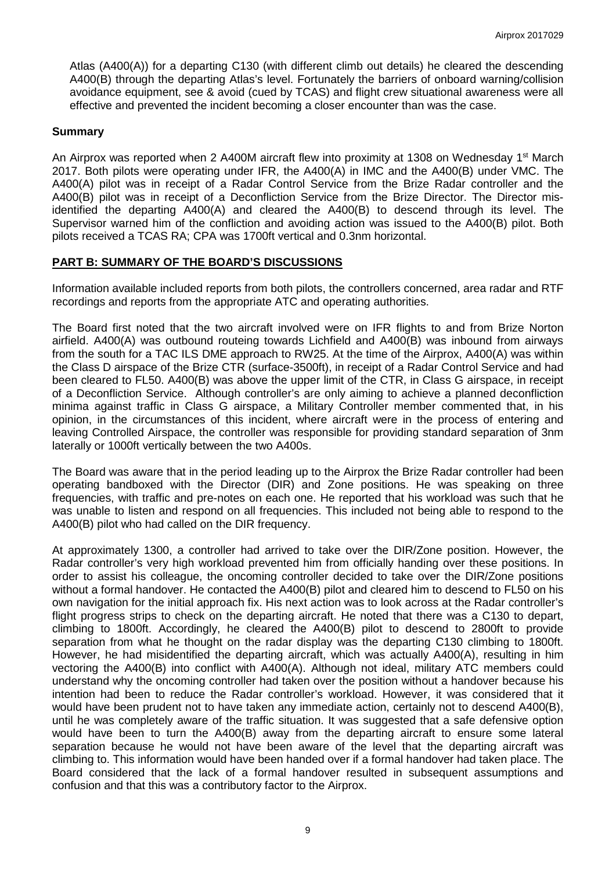Atlas (A400(A)) for a departing C130 (with different climb out details) he cleared the descending A400(B) through the departing Atlas's level. Fortunately the barriers of onboard warning/collision avoidance equipment, see & avoid (cued by TCAS) and flight crew situational awareness were all effective and prevented the incident becoming a closer encounter than was the case.

### **Summary**

An Airprox was reported when 2 A400M aircraft flew into proximity at 1308 on Wednesday 1<sup>st</sup> March 2017. Both pilots were operating under IFR, the A400(A) in IMC and the A400(B) under VMC. The A400(A) pilot was in receipt of a Radar Control Service from the Brize Radar controller and the A400(B) pilot was in receipt of a Deconfliction Service from the Brize Director. The Director misidentified the departing A400(A) and cleared the A400(B) to descend through its level. The Supervisor warned him of the confliction and avoiding action was issued to the A400(B) pilot. Both pilots received a TCAS RA; CPA was 1700ft vertical and 0.3nm horizontal.

### **PART B: SUMMARY OF THE BOARD'S DISCUSSIONS**

Information available included reports from both pilots, the controllers concerned, area radar and RTF recordings and reports from the appropriate ATC and operating authorities.

The Board first noted that the two aircraft involved were on IFR flights to and from Brize Norton airfield. A400(A) was outbound routeing towards Lichfield and A400(B) was inbound from airways from the south for a TAC ILS DME approach to RW25. At the time of the Airprox, A400(A) was within the Class D airspace of the Brize CTR (surface-3500ft), in receipt of a Radar Control Service and had been cleared to FL50. A400(B) was above the upper limit of the CTR, in Class G airspace, in receipt of a Deconfliction Service. Although controller's are only aiming to achieve a planned deconfliction minima against traffic in Class G airspace, a Military Controller member commented that, in his opinion, in the circumstances of this incident, where aircraft were in the process of entering and leaving Controlled Airspace, the controller was responsible for providing standard separation of 3nm laterally or 1000ft vertically between the two A400s.

The Board was aware that in the period leading up to the Airprox the Brize Radar controller had been operating bandboxed with the Director (DIR) and Zone positions. He was speaking on three frequencies, with traffic and pre-notes on each one. He reported that his workload was such that he was unable to listen and respond on all frequencies. This included not being able to respond to the A400(B) pilot who had called on the DIR frequency.

At approximately 1300, a controller had arrived to take over the DIR/Zone position. However, the Radar controller's very high workload prevented him from officially handing over these positions. In order to assist his colleague, the oncoming controller decided to take over the DIR/Zone positions without a formal handover. He contacted the A400(B) pilot and cleared him to descend to FL50 on his own navigation for the initial approach fix. His next action was to look across at the Radar controller's flight progress strips to check on the departing aircraft. He noted that there was a C130 to depart, climbing to 1800ft. Accordingly, he cleared the A400(B) pilot to descend to 2800ft to provide separation from what he thought on the radar display was the departing C130 climbing to 1800ft. However, he had misidentified the departing aircraft, which was actually A400(A), resulting in him vectoring the A400(B) into conflict with A400(A). Although not ideal, military ATC members could understand why the oncoming controller had taken over the position without a handover because his intention had been to reduce the Radar controller's workload. However, it was considered that it would have been prudent not to have taken any immediate action, certainly not to descend A400(B), until he was completely aware of the traffic situation. It was suggested that a safe defensive option would have been to turn the A400(B) away from the departing aircraft to ensure some lateral separation because he would not have been aware of the level that the departing aircraft was climbing to. This information would have been handed over if a formal handover had taken place. The Board considered that the lack of a formal handover resulted in subsequent assumptions and confusion and that this was a contributory factor to the Airprox.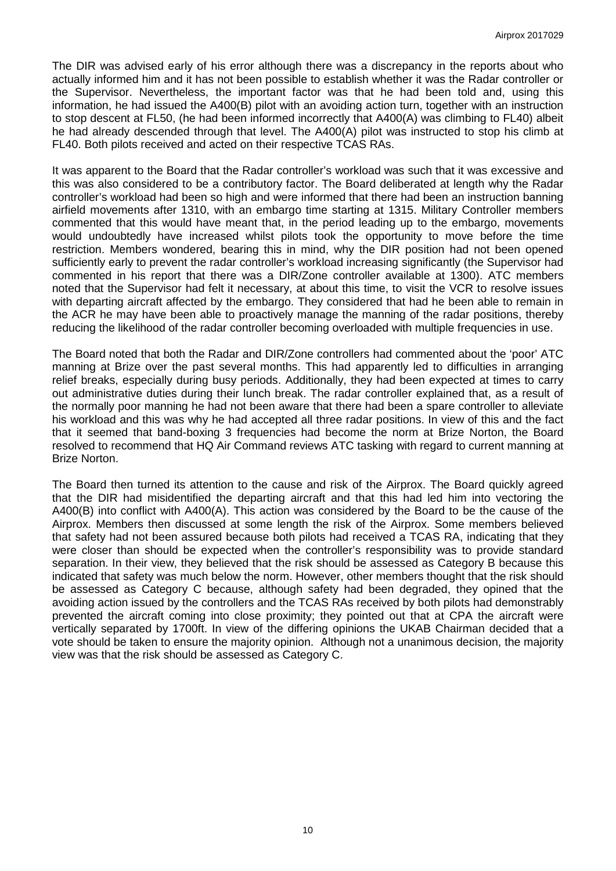The DIR was advised early of his error although there was a discrepancy in the reports about who actually informed him and it has not been possible to establish whether it was the Radar controller or the Supervisor. Nevertheless, the important factor was that he had been told and, using this information, he had issued the A400(B) pilot with an avoiding action turn, together with an instruction to stop descent at FL50, (he had been informed incorrectly that A400(A) was climbing to FL40) albeit he had already descended through that level. The A400(A) pilot was instructed to stop his climb at FL40. Both pilots received and acted on their respective TCAS RAs.

It was apparent to the Board that the Radar controller's workload was such that it was excessive and this was also considered to be a contributory factor. The Board deliberated at length why the Radar controller's workload had been so high and were informed that there had been an instruction banning airfield movements after 1310, with an embargo time starting at 1315. Military Controller members commented that this would have meant that, in the period leading up to the embargo, movements would undoubtedly have increased whilst pilots took the opportunity to move before the time restriction. Members wondered, bearing this in mind, why the DIR position had not been opened sufficiently early to prevent the radar controller's workload increasing significantly (the Supervisor had commented in his report that there was a DIR/Zone controller available at 1300). ATC members noted that the Supervisor had felt it necessary, at about this time, to visit the VCR to resolve issues with departing aircraft affected by the embargo. They considered that had he been able to remain in the ACR he may have been able to proactively manage the manning of the radar positions, thereby reducing the likelihood of the radar controller becoming overloaded with multiple frequencies in use.

The Board noted that both the Radar and DIR/Zone controllers had commented about the 'poor' ATC manning at Brize over the past several months. This had apparently led to difficulties in arranging relief breaks, especially during busy periods. Additionally, they had been expected at times to carry out administrative duties during their lunch break. The radar controller explained that, as a result of the normally poor manning he had not been aware that there had been a spare controller to alleviate his workload and this was why he had accepted all three radar positions. In view of this and the fact that it seemed that band-boxing 3 frequencies had become the norm at Brize Norton, the Board resolved to recommend that HQ Air Command reviews ATC tasking with regard to current manning at Brize Norton.

The Board then turned its attention to the cause and risk of the Airprox. The Board quickly agreed that the DIR had misidentified the departing aircraft and that this had led him into vectoring the A400(B) into conflict with A400(A). This action was considered by the Board to be the cause of the Airprox. Members then discussed at some length the risk of the Airprox. Some members believed that safety had not been assured because both pilots had received a TCAS RA, indicating that they were closer than should be expected when the controller's responsibility was to provide standard separation. In their view, they believed that the risk should be assessed as Category B because this indicated that safety was much below the norm. However, other members thought that the risk should be assessed as Category C because, although safety had been degraded, they opined that the avoiding action issued by the controllers and the TCAS RAs received by both pilots had demonstrably prevented the aircraft coming into close proximity; they pointed out that at CPA the aircraft were vertically separated by 1700ft. In view of the differing opinions the UKAB Chairman decided that a vote should be taken to ensure the majority opinion. Although not a unanimous decision, the majority view was that the risk should be assessed as Category C.